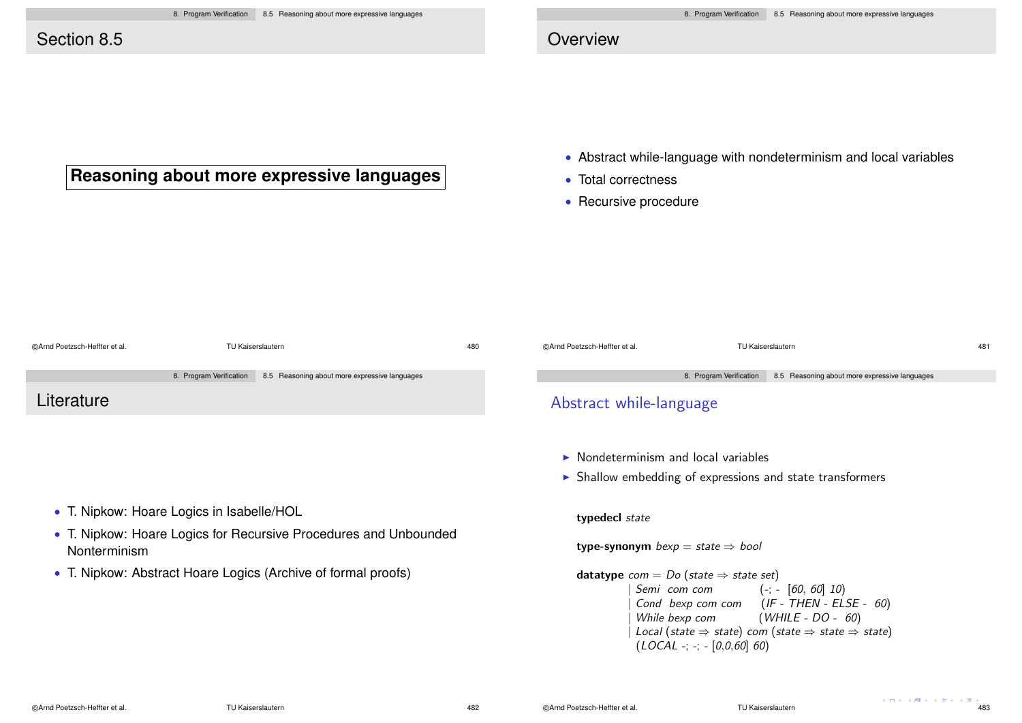**Reasoning about more expressive languages**

# Section 8.5

# **Overview**

- Abstract while-language with nondeterminism and local variables
- Total correctness
- Recursive procedure

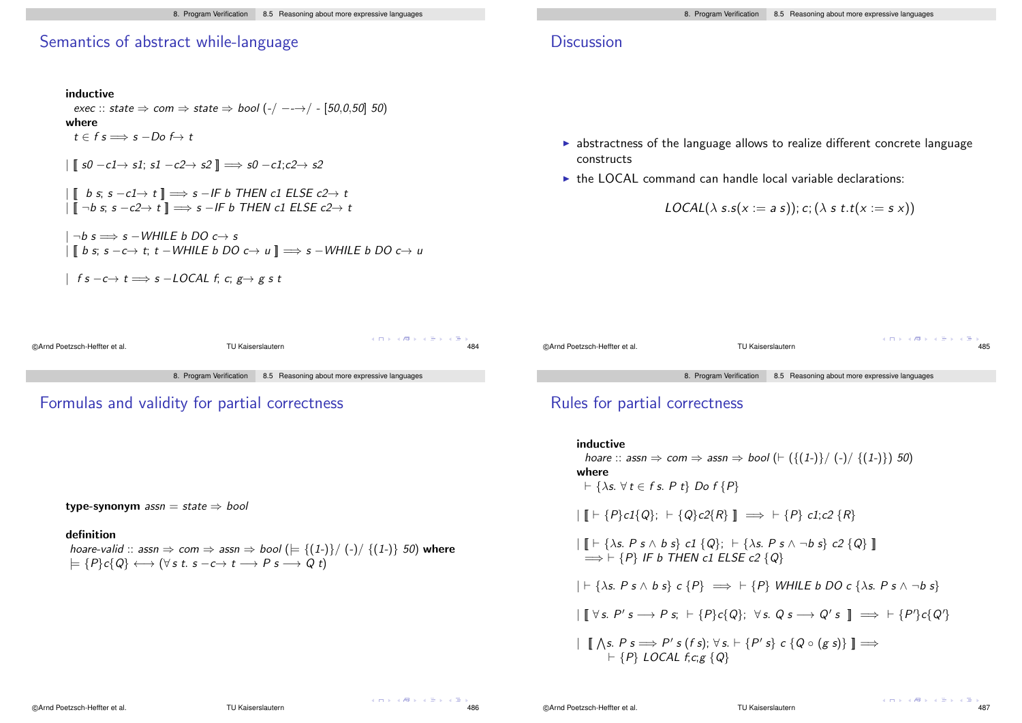# Semantics of abstract while-language

# inductive exec :: state  $\Rightarrow$  com  $\Rightarrow$  state  $\Rightarrow$  bool (-/ --- $\rightarrow$ / - [50,0,50] 50) where  $t \in f \text{ s} \Longrightarrow \text{ s } -\text{Do} \not\mapsto t$  $\|\int s\theta - c\theta\to s\theta$ ; s1  $-c2\to s2\|\Longrightarrow s\theta - c\theta\;c2\to s\theta$  $\begin{array}{|l|} \hline \end{array}$  if b s; s  $-c1 \rightarrow t \parallel \Rightarrow$  s  $-IF$  b THEN c1 ELSE c2 $\rightarrow t$  $\|\mathbf{I} - b \mathbf{s}; s - c2 \rightarrow t\| \Longrightarrow s - lF b$  THEN c1 ELSE  $c2 \rightarrow t$  $\neg b$  s  $\Longrightarrow$  s  $-WHILE$  b DO c $\rightarrow$  s | [[ b s; s −c→ t; t −WHILE b DO c→ u ]] =⇒ s −WHILE b DO c→ u  $\vert$  f s  $-c \rightarrow t \Longrightarrow s$  -LOCAL f; c; g  $\rightarrow$  g s t

# **Discussion**

- $\triangleright$  abstractness of the language allows to realize different concrete language constructs
- $\triangleright$  the LOCAL command can handle local variable declarations:

 $LOGAL(\lambda s.s(x := a s))$ ;  $c$ ;  $(\lambda s.t.t(x := s x))$ 

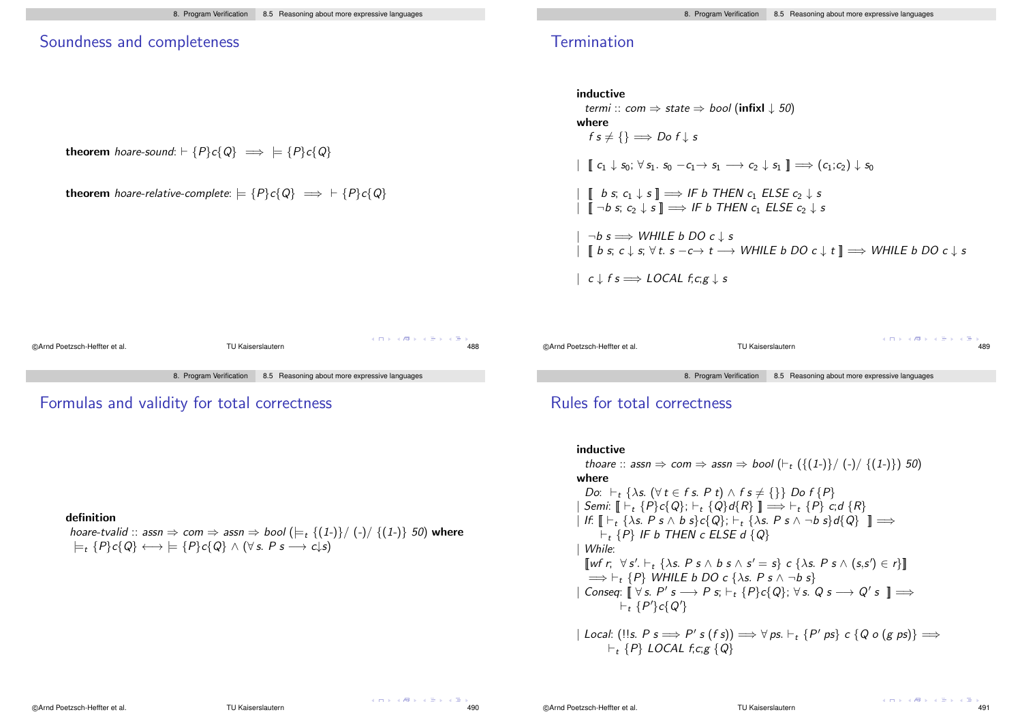### Soundness and completeness

theorem hoare-sound:  $\vdash \{P\}c\{Q\} \implies \models \{P\}c\{Q\}$ 

**theorem** hoare-relative-complete:  $\models \{P\}c\{Q\} \implies \vdash \{P\}c\{Q\}$ 

inductive  
\n*termi* :: 
$$
com \Rightarrow state \Rightarrow bool
$$
 (infixl  $\downarrow 50$ )  
\nwhere  
\n $fs \neq \{\} \Longrightarrow Dof \downarrow s$   
\n $\parallel C_1 \downarrow s_0; \forall s_1. s_0 - c_1 \rightarrow s_1 \rightarrow c_2 \downarrow s_1 \parallel \Rightarrow (c_1:c_2) \downarrow s_0$   
\n $\parallel \parallel b s; c_1 \downarrow s \parallel \Rightarrow \text{IF } b \text{ THEN } c_1 \text{ ELSE } c_2 \downarrow s$   
\n $\parallel \parallel \neg b s; c_2 \downarrow s \parallel \Rightarrow \text{IF } b \text{ THEN } c_1 \text{ ELSE } c_2 \downarrow s$   
\n $\parallel \neg b s \Rightarrow \text{WHILE } b \text{ DO } c \downarrow s$   
\n $\parallel b s; c \downarrow s; \forall t. s - c \rightarrow t \rightarrow \text{WHILE } b \text{ DO } c \downarrow t \parallel \Rightarrow \text{WHILE } b \text{ DO } c \downarrow s$   
\n $\parallel c \downarrow fs \Rightarrow \text{LOCAL } f; c; g \downarrow s$ 



Formulas and validity for total correctness

#### definition

hoare-tvalid :: assn  $\Rightarrow$  com  $\Rightarrow$  assn  $\Rightarrow$  bool ( $\models$  {(1-)}/ (-)/ {(1-)} 50) where  $\models$  {P}c{Q}  $\longleftrightarrow$   $\models$  {P}c{Q}  $\land$  ( $\forall$  s. P s  $\rightarrow$  c\s)

©Arnd Poetzsch-Heffter et al. TU Kaiserslautern 489 8. Program Verification 8.5 Reasoning about more expressive languages

# Rules for total correctness

### inductive thoare :: assn  $\Rightarrow$  com  $\Rightarrow$  assn  $\Rightarrow$  bool  $(\vdash_t (\{(1-\})/\(-)/\{(1-\})\})$  50) where Do:  $\vdash_t \{\lambda s. (\forall t \in f s. P t) \wedge f s \neq \{\}\}$  Do  $f \{P\}$  $\text{Semi: } \mathbb{F} \to \{P\} \subset \{Q\}; \vdash_t \{Q\} d\{R\} \mathbb{I} \Longrightarrow \vdash_t \{P\} \subset \{d\} R\}$  $\left\{ \left. \left\langle f: \right| \left[ \left. \left[ \left. \left[ \left. \left[ \right] \right] \right] \right. \right. \right. \right. \right\} \left. \right. \right\} \left. \left. \left[ \left. \left[ \left. \left[ \left. \left[ \right] \right] \right] \right. \right. \right. \right. \right\} \left. \left. \left[ \left. \left[ \left. \left[ \left. \left[ \left. \left[ \right] \right] \right] \right. \right. \right. \right. \right. \right. \right\} \left. \left. \left[ \left. \left[ \left. \left[ \left. \left[ \left. \left$  $F_t$  {P} IF b THEN c ELSE d {Q} | While:  $\llbracket \text{wf } r, \forall s'. \vdash_t \{ \lambda s. \ P \ s \wedge b \ s \wedge s' = s \} \ c \{ \lambda s. \ P \ s \wedge (s,s') \in r \} \rrbracket$  $\Rightarrow$   $\vdash_t \{P\}$  WHILE b DO c { $\lambda$ s. P s  $\land \neg b$  s}  $\mid$  Conseq:  $\llbracket \forall s. P's \longrightarrow P s; \vdash_t \{P\}c\{Q\}; \forall s. Q s \longrightarrow Q's \rrbracket \Longrightarrow$  $\vdash_t \{P'\}c\{Q'\}$

 $|$  Local:  $(!!s. P s \Longrightarrow P' s (fs)) \Longrightarrow \forall ps. \vdash_t \{P' ps\} c \{Q o (g ps)\} \Longrightarrow$  $\vdash_t \{P\}$  LOCAL f;c;g {Q}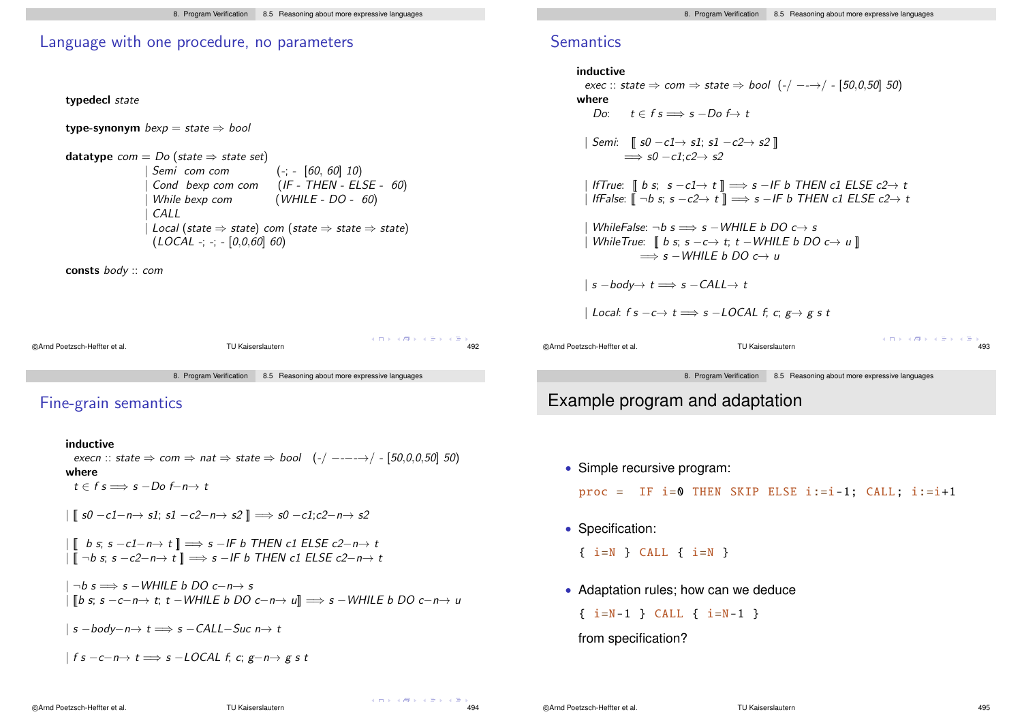### Language with one procedure, no parameters

typedecl state

type-synonym  $bexp = state \Rightarrow bool$ 

datatype  $com = Do$  (state  $\Rightarrow$  state set)<br>| Semi com com  $Semi$  com com  $(-; -[60, 60]$  10)<br>Cond bexp com com  $(IF - THEN - ELS)$ Cond bexp com com (IF - THEN - ELSE - 60)<br>While bexp com (WHILE - DO - 60)  $(WHILE - DO - 60)$ | CALL  $Local (state \Rightarrow state) com (state \Rightarrow state \Rightarrow state)$  $(LOCAL -; -; -[0, 0, 60] 60)$ 

consts body :: com

 $A \cap A \rightarrow A \oplus A \rightarrow A \oplus A$ ©Arnd Poetzsch-Heffter et al. TU Kaiserslautern 492 8. Program Verification 8.5 Reasoning about more expressive languages

# Fine-grain semantics

inductive

execn :: state  $\Rightarrow$  com  $\Rightarrow$  nat  $\Rightarrow$  state  $\Rightarrow$  bool  $(-/----\rightarrow/-$  [50,0,0,50] 50) where  $t \in f \ s \Longrightarrow s - D \ o \ f - n \rightarrow t$  $\|$   $\|$  s0 -c1-n  $\rightarrow$  s1; s1 -c2-n  $\rightarrow$  s2  $\|$   $\Rightarrow$  s0 -c1;c2-n  $\rightarrow$  s2  $\begin{array}{|l|} \hline \end{array}$  [[ b s; s −c1−n→ t ]]  $\implies$  s −IF b THEN c1 ELSE c2−n→ t  $\begin{array}{c} | \overline{\mathbb{I}} \neg b \text{ s}; \text{ s } -c2-n \rightarrow t \end{array}$   $\Rightarrow$  s  $-IF b$  THEN c1 ELSE c2-n $\rightarrow t$  $\neg b$  s  $\Longrightarrow$  s −WHII F b DO c−n→ s

 $\|$   $\|$ b s; s −c−n→ t; t −WHILE b DO c−n→ u $\|$   $\implies$  s −WHILE b DO c−n→ u

 $|s - body - n \rightarrow t \Longrightarrow s - CALL - Suc n \rightarrow t$ 

$$
\mid fs-c-n\rightarrow t \Longrightarrow s-LOCAL\,\, f,\, c,\, g-n\rightarrow g\,\, s\,\, t
$$

# **Semantics**

```
inductive
            exec :: state \Rightarrow com \Rightarrow state \Rightarrow bool (-/ --\rightarrow/ - [50,0,50] 50)
          where
               Do: \t t \in f \sRightarrow s - Do \t t| Semi: \int s0 -c1 \rightarrow s1; s1 -c2 \rightarrow s2 \Vert\Rightarrow s0 -c1;c2 \rightarrow s2
             | IfTrue: \parallel b s: s −c1\rightarrow t \parallel \Longrightarrow s −IF b THEN c1 ELSE c2\rightarrow t
             | IfFalse: \lbrack\!\lbrack\neg \neg \vdash s; s \neg c2\rightarrow t \rbrack\!\rbrack \implies s \neg IF b THEN c1 ELSE c2\rightarrow tWhileFalse: \neg b s \implies s – WHII F b DO c \rightarrow s
              WhileTrue: \parallel b \text{ s}; s - c \rightarrow t; t - WHILE b DO c \rightarrow u \parallel\Rightarrow s – WHILE b DO c\rightarrow u
            |s - body \rightarrow t \Longrightarrow s - CALL \rightarrow t| Local: f s - c \rightarrow t \Longrightarrow s - LOCAL f; c; g \rightarrow g s tA \cap A \rightarrow A \oplus A \rightarrow A \oplus A©Arnd Poetzsch-Heffter et al. TU Kaiserslautern 493
```
8. Program Verification 8.5 Reasoning about more expressive languages

# Example program and adaptation

• Simple recursive program:

 $proc = IF i=0 THEN$  SKIP ELSE  $i:=i-1;$  CALL;  $i:=i+1$ 

• Specification:

{ i=N } CALL { i=N }

• Adaptation rules; how can we deduce

 $\{ i=N-1 \}$  CALL  $\{ i=N-1 \}$ 

### from specification?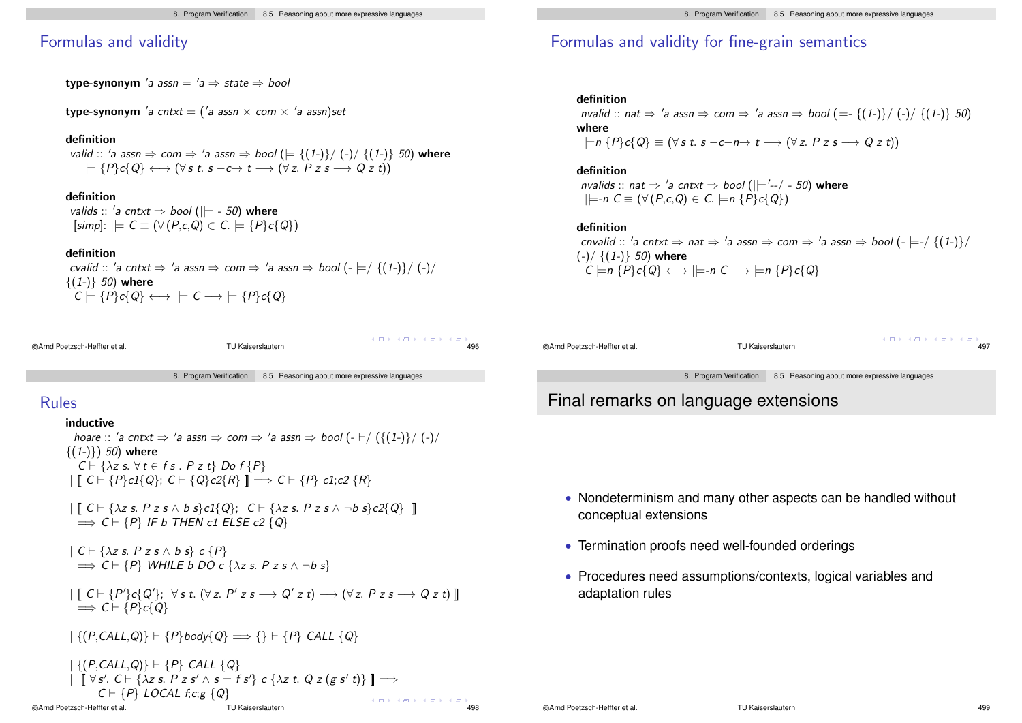### Formulas and validity

type-synonym 'a assn =  $a \Rightarrow$  state  $\Rightarrow$  bool

type-synonym 'a cntxt = ('a assn  $\times$  com  $\times$  'a assn)set

#### definition

valid :: 'a assn  $\Rightarrow$  com  $\Rightarrow$  'a assn  $\Rightarrow$  bool ( $\models \{(1-\})/$   $\{(1-\)}$  50) where  $\models$  { $P$ } $c$ { $Q$ }  $\longleftrightarrow$  ( $\forall s$  t.  $s - c \rightarrow t \rightarrow (\forall z. P z s \rightarrow Q z t)$ )

#### definition

valids :: 'a cntxt  $\Rightarrow$  bool ( $|\models$  - 50) where  $[simpl: |E \subset \equiv (\forall (P,c,Q) \in C. |E \subset \{P\} \subset \{Q\})$ 

#### definition

cvalid :: 'a cntxt  $\Rightarrow$  'a assn  $\Rightarrow$  com  $\Rightarrow$  'a assn  $\Rightarrow$  bool (-  $\models$  {(1-)}/ (-)/  $\{(1-)\}\,50$ ) where  $C \models \{P\}c\{Q\} \longleftrightarrow \models C \longrightarrow \models \{P\}c\{Q\}$ 

| CArnd Poetzsch-Heffter et al. |  |
|-------------------------------|--|

©Arnd Poetzsch-Heffter et al. TU Kaiserslautern 496

 $A \cap A \rightarrow A \oplus A \rightarrow A \oplus A$ 

 $\mathcal{A} \oplus \mathcal{A} \oplus \mathcal{A} \oplus \mathcal{A}$ 

8. Program Verification 8.5 Reasoning about more expressive languages

## Rules

#### inductive

hoare :: 'a cntxt  $\Rightarrow$  'a assn  $\Rightarrow$  com  $\Rightarrow$  'a assn  $\Rightarrow$  bool (-  $\vdash$  / {{(1-}}/ (-)/  $\{(1-1)\}\)$  50) where  $C \vdash \{\lambda z \text{ s. } \forall t \in f \text{ s. } P z t\}$  Do  $f \{P\}$  $\| [C \vdash \{P\} c1\{Q\}; C \vdash \{Q\} c2\{R\}] \implies C \vdash \{P\} c1; c2 \{R\}$ 

 $\| \mathbf{C} \vdash \{\lambda z \text{ s. } P z \text{ s} \wedge b \text{ s}\} c1\{Q\}; \ \mathbf{C} \vdash \{\lambda z \text{ s. } P z \text{ s} \wedge \neg b \text{ s}\} c2\{Q\} \|$  $\Rightarrow$  C  $\vdash$  {P} IF b THEN c1 ELSE c2 {Q}

 $| C \vdash \{\lambda z \text{ s. } P z s \land b s\} \subset \{P\}$  $\Rightarrow$  C  $\vdash$  {P} WHILE b DO c { $\lambda z$  s. P z s  $\wedge \neg b$  s}

 $\Box \hspace{0.1cm} \Box \hspace{0.1cm} \Box \hspace{0.1cm} \Box \hspace{0.1cm} \Box \hspace{0.1cm} \Box \hspace{0.1cm} \Box \hspace{0.1cm} \Box \hspace{0.1cm} \Box \hspace{0.1cm} \Box \hspace{0.1cm} \Box \hspace{0.1cm} \Box \hspace{0.1cm} \Box \hspace{0.1cm} \Box \hspace{0.1cm} \Box \hspace{0.1cm} \Box \hspace{0.1cm} \Box \hspace{0.1cm} \Box \hspace{0.1cm} \Box \hspace{0.1cm} \Box \hspace{0.1cm}$  $\Rightarrow C \vdash \{P\}c\{Q\}$ 

 $|\{(P, CALL, Q)\} \vdash \{P\}$ body $\{Q\} \Longrightarrow \{\} \vdash \{P\}$  CALL  $\{Q\}$ 

$$
\begin{array}{c}\n \begin{aligned}\n &\left| \{ (P, CALL, Q) \} \vdash \{ P \} \text{ CALL } \{ Q \} \\
 &\left| \quad \left[ \forall s'. \text{ C} \vdash \{ \lambda z \text{ s. } P z s' \land s = fs' \} \text{ c } \{ \lambda z \text{ t. } Q z (g s' t) \} \right] \right| \implies \\
 &\left| \quad C \vdash \{ P \} \text{ LOCAL } f; c; g \{ Q \} \right|\n \end{aligned}\n \end{array}
$$
\nQArnd Poetzsch-Heffter et al.

\nTU Kaiserslautern

# Formulas and validity for fine-grain semantics

#### definition

nvalid :: nat  $\Rightarrow$  'a assn  $\Rightarrow$  com  $\Rightarrow$  'a assn  $\Rightarrow$  bool ( $\models$ -{(1-)}/(-)/{(1-)} 50) where  $\vert \models n \{P\} c \{Q\} \equiv (\forall s \ t. \ s - c - n \rightarrow t \rightarrow (\forall z. \ P \ z \ s \rightarrow Q \ z \ t))$ 

### definition nvalids :: nat  $\Rightarrow$  'a cntxt  $\Rightarrow$  bool ( $\mid$  $=$ '--/ - 50) where  $|\models$ -n  $C \equiv (\forall (P, c, Q) \in C. \models$ n  $\{P\}c\{Q\})$

#### definition

cnvalid :: 'a cntxt  $\Rightarrow$  nat  $\Rightarrow$  'a assn  $\Rightarrow$  com  $\Rightarrow$  'a assn  $\Rightarrow$  bool (-  $\models$ -/ $\{(1-)\}\/$  $(-)/$  { $(1-)$ } 50) where  $C \models n \{P\}c\{Q\} \longleftrightarrow \models\neg n C \longrightarrow \models n \{P\}c\{Q\}$ 

| ©Arnd Poetzsch-Heffter et al. |                         | TU Kaiserslautern                             | メロトメ 倒下 メミトメミト<br>497 |  |  |
|-------------------------------|-------------------------|-----------------------------------------------|-----------------------|--|--|
|                               |                         |                                               |                       |  |  |
|                               | 8. Program Verification | 8.5 Reasoning about more expressive languages |                       |  |  |

# Final remarks on language extensions

- Nondeterminism and many other aspects can be handled without conceptual extensions
- Termination proofs need well-founded orderings
- Procedures need assumptions/contexts, logical variables and adaptation rules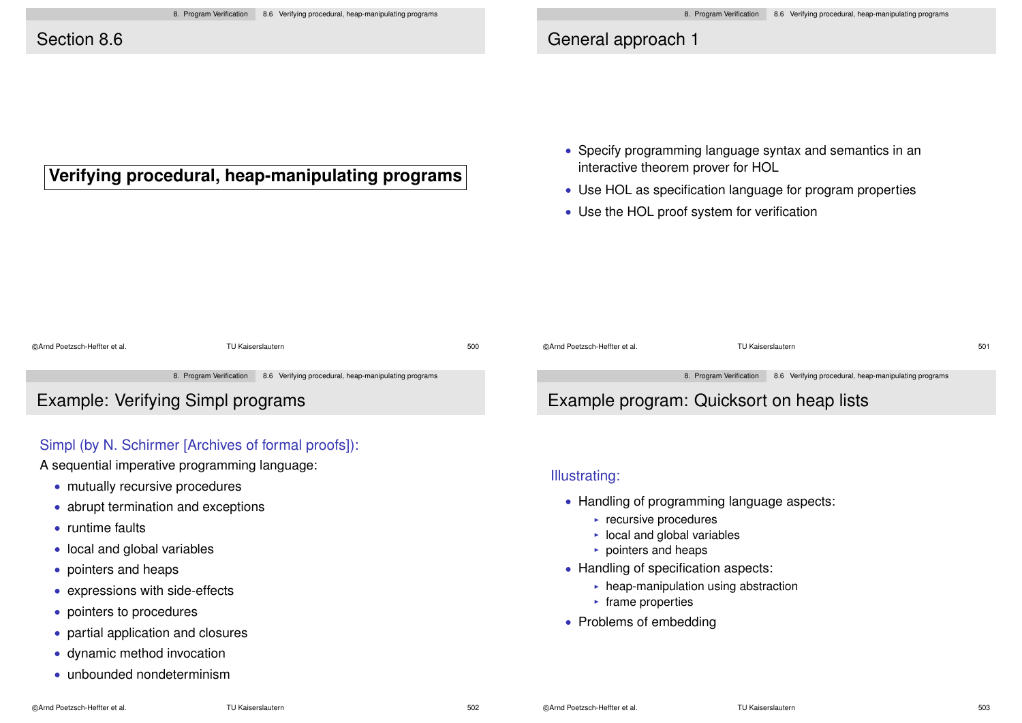# Section 8.6

# General approach 1

- **Verifying procedural, heap-manipulating programs**
- Specify programming language syntax and semantics in an interactive theorem prover for HOL
- Use HOL as specification language for program properties
- Use the HOL proof system for verification

| ©Arnd Poetzsch-Heffter et al.<br>TU Kaiserslautern |  |                                                                              | 500                                      | ©Arnd Poetzsch-Heffter et al. | TU Kaiserslautern |                                                                              | 501 |
|----------------------------------------------------|--|------------------------------------------------------------------------------|------------------------------------------|-------------------------------|-------------------|------------------------------------------------------------------------------|-----|
|                                                    |  |                                                                              |                                          |                               |                   |                                                                              |     |
|                                                    |  | 8. Program Verification 8.6 Verifying procedural, heap-manipulating programs |                                          |                               |                   | 8. Program Verification 8.6 Verifying procedural, heap-manipulating programs |     |
| <b>Example: Verifying Simpl programs</b>           |  |                                                                              | Example program: Quicksort on heap lists |                               |                   |                                                                              |     |

## Simpl (by N. Schirmer [Archives of formal proofs]):

A sequential imperative programming language:

- mutually recursive procedures
- abrupt termination and exceptions
- runtime faults
- local and global variables
- pointers and heaps
- expressions with side-effects
- pointers to procedures
- partial application and closures
- dynamic method invocation
- unbounded nondeterminism

# Example program: Quicksort on heap lists

## Illustrating:

- Handling of programming language aspects:
	- $\blacktriangleright$  recursive procedures
	- $\triangleright$  local and global variables
	- $\triangleright$  pointers and heaps
- Handling of specification aspects:
	- $\triangleright$  heap-manipulation using abstraction
	- $\blacktriangleright$  frame properties
- Problems of embedding